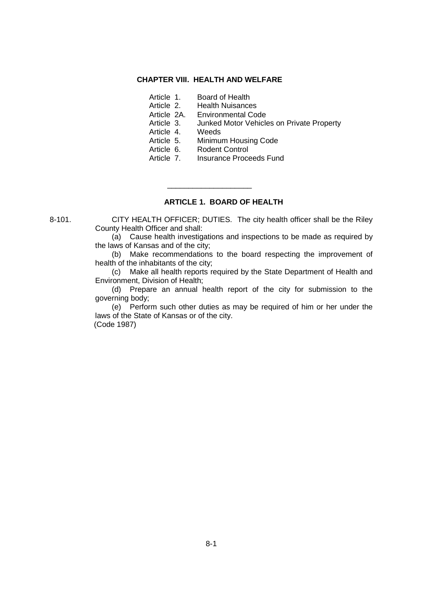### **CHAPTER VIII. HEALTH AND WELFARE**

- Article 1. Board of Health
- Article 2. Health Nuisances
- Article 2A. Environmental Code
- Article 3. Junked Motor Vehicles on Private Property
- Article 4. Weeds
- Article 5. Minimum Housing Code
- Article 6. Rodent Control
- Article 7. Insurance Proceeds Fund

\_\_\_\_\_\_\_\_\_\_\_\_\_\_\_\_\_\_\_\_

# **ARTICLE 1. BOARD OF HEALTH**

8-101. CITY HEALTH OFFICER; DUTIES. The city health officer shall be the Riley County Health Officer and shall:

(a) Cause health investigations and inspections to be made as required by the laws of Kansas and of the city;

(b) Make recommendations to the board respecting the improvement of health of the inhabitants of the city;

(c) Make all health reports required by the State Department of Health and Environment, Division of Health;

(d) Prepare an annual health report of the city for submission to the governing body;

(e) Perform such other duties as may be required of him or her under the laws of the State of Kansas or of the city. (Code 1987)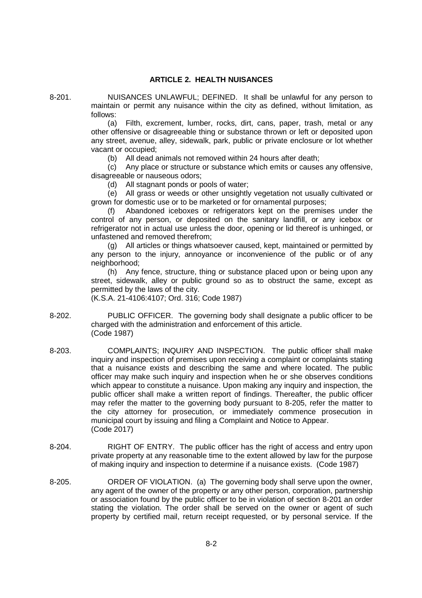### **ARTICLE 2. HEALTH NUISANCES**

8-201. NUISANCES UNLAWFUL; DEFINED. It shall be unlawful for any person to maintain or permit any nuisance within the city as defined, without limitation, as follows:

> (a) Filth, excrement, lumber, rocks, dirt, cans, paper, trash, metal or any other offensive or disagreeable thing or substance thrown or left or deposited upon any street, avenue, alley, sidewalk, park, public or private enclosure or lot whether vacant or occupied;

(b) All dead animals not removed within 24 hours after death;

(c) Any place or structure or substance which emits or causes any offensive, disagreeable or nauseous odors;

(d) All stagnant ponds or pools of water;

(e) All grass or weeds or other unsightly vegetation not usually cultivated or grown for domestic use or to be marketed or for ornamental purposes;

Abandoned iceboxes or refrigerators kept on the premises under the control of any person, or deposited on the sanitary landfill, or any icebox or refrigerator not in actual use unless the door, opening or lid thereof is unhinged, or unfastened and removed therefrom;

(g) All articles or things whatsoever caused, kept, maintained or permitted by any person to the injury, annoyance or inconvenience of the public or of any neighborhood;

(h) Any fence, structure, thing or substance placed upon or being upon any street, sidewalk, alley or public ground so as to obstruct the same, except as permitted by the laws of the city.

(K.S.A. 21-4106:4107; Ord. 316; Code 1987)

- 8-202. PUBLIC OFFICER. The governing body shall designate a public officer to be charged with the administration and enforcement of this article. (Code 1987)
- 8-203. COMPLAINTS; INQUIRY AND INSPECTION. The public officer shall make inquiry and inspection of premises upon receiving a complaint or complaints stating that a nuisance exists and describing the same and where located. The public officer may make such inquiry and inspection when he or she observes conditions which appear to constitute a nuisance. Upon making any inquiry and inspection, the public officer shall make a written report of findings. Thereafter, the public officer may refer the matter to the governing body pursuant to 8-205, refer the matter to the city attorney for prosecution, or immediately commence prosecution in municipal court by issuing and filing a Complaint and Notice to Appear. (Code 2017)
- 8-204. RIGHT OF ENTRY. The public officer has the right of access and entry upon private property at any reasonable time to the extent allowed by law for the purpose of making inquiry and inspection to determine if a nuisance exists. (Code 1987)
- 8-205. ORDER OF VIOLATION. (a) The governing body shall serve upon the owner, any agent of the owner of the property or any other person, corporation, partnership or association found by the public officer to be in violation of section 8-201 an order stating the violation. The order shall be served on the owner or agent of such property by certified mail, return receipt requested, or by personal service. If the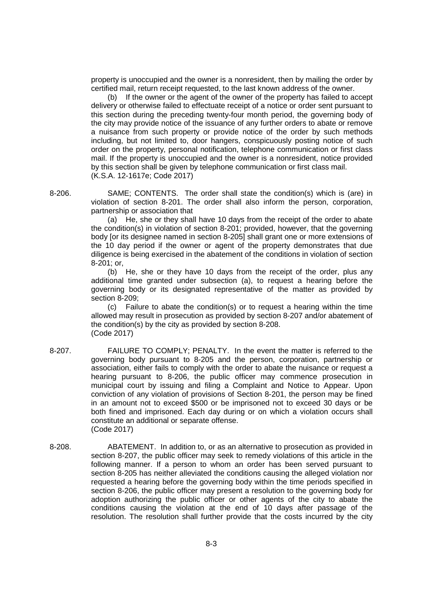property is unoccupied and the owner is a nonresident, then by mailing the order by certified mail, return receipt requested, to the last known address of the owner.

(b) If the owner or the agent of the owner of the property has failed to accept delivery or otherwise failed to effectuate receipt of a notice or order sent pursuant to this section during the preceding twenty-four month period, the governing body of the city may provide notice of the issuance of any further orders to abate or remove a nuisance from such property or provide notice of the order by such methods including, but not limited to, door hangers, conspicuously posting notice of such order on the property, personal notification, telephone communication or first class mail. If the property is unoccupied and the owner is a nonresident, notice provided by this section shall be given by telephone communication or first class mail. (K.S.A. 12-1617e; Code 2017)

8-206. SAME; CONTENTS. The order shall state the condition(s) which is (are) in violation of section 8-201. The order shall also inform the person, corporation, partnership or association that

> (a) He, she or they shall have 10 days from the receipt of the order to abate the condition(s) in violation of section 8-201; provided, however, that the governing body [or its designee named in section 8-205] shall grant one or more extensions of the 10 day period if the owner or agent of the property demonstrates that due diligence is being exercised in the abatement of the conditions in violation of section 8-201; or,

> (b) He, she or they have 10 days from the receipt of the order, plus any additional time granted under subsection (a), to request a hearing before the governing body or its designated representative of the matter as provided by section 8-209;

> (c) Failure to abate the condition(s) or to request a hearing within the time allowed may result in prosecution as provided by section 8-207 and/or abatement of the condition(s) by the city as provided by section 8-208. (Code 2017)

- 8-207. FAILURE TO COMPLY; PENALTY. In the event the matter is referred to the governing body pursuant to 8-205 and the person, corporation, partnership or association, either fails to comply with the order to abate the nuisance or request a hearing pursuant to 8-206, the public officer may commence prosecution in municipal court by issuing and filing a Complaint and Notice to Appear. Upon conviction of any violation of provisions of Section 8-201, the person may be fined in an amount not to exceed \$500 or be imprisoned not to exceed 30 days or be both fined and imprisoned. Each day during or on which a violation occurs shall constitute an additional or separate offense. (Code 2017)
- 8-208. ABATEMENT. In addition to, or as an alternative to prosecution as provided in section 8-207, the public officer may seek to remedy violations of this article in the following manner. If a person to whom an order has been served pursuant to section 8-205 has neither alleviated the conditions causing the alleged violation nor requested a hearing before the governing body within the time periods specified in section 8-206, the public officer may present a resolution to the governing body for adoption authorizing the public officer or other agents of the city to abate the conditions causing the violation at the end of 10 days after passage of the resolution. The resolution shall further provide that the costs incurred by the city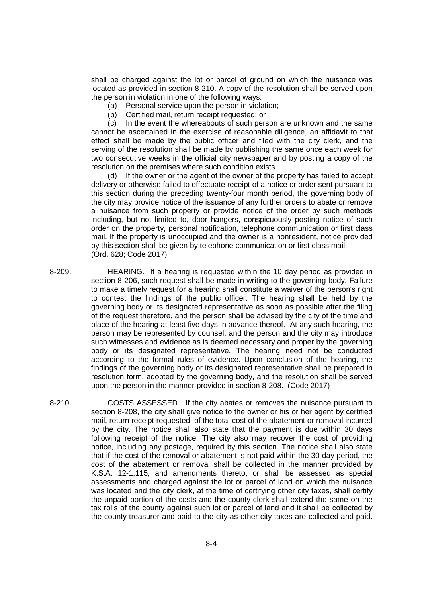shall be charged against the lot or parcel of ground on which the nuisance was located as provided in section 8-210. A copy of the resolution shall be served upon the person in violation in one of the following ways:

- (a) Personal service upon the person in violation;
- (b) Certified mail, return receipt requested; or

(c) In the event the whereabouts of such person are unknown and the same cannot be ascertained in the exercise of reasonable diligence, an affidavit to that effect shall be made by the public officer and filed with the city clerk, and the serving of the resolution shall be made by publishing the same once each week for two consecutive weeks in the official city newspaper and by posting a copy of the resolution on the premises where such condition exists.

(d) If the owner or the agent of the owner of the property has failed to accept delivery or otherwise failed to effectuate receipt of a notice or order sent pursuant to this section during the preceding twenty-four month period, the governing body of the city may provide notice of the issuance of any further orders to abate or remove a nuisance from such property or provide notice of the order by such methods including, but not limited to, door hangers, conspicuously posting notice of such order on the property, personal notification, telephone communication or first class mail. If the property is unoccupied and the owner is a nonresident, notice provided by this section shall be given by telephone communication or first class mail. (Ord. 628; Code 2017)

- 8-209. HEARING. If a hearing is requested within the 10 day period as provided in section 8-206, such request shall be made in writing to the governing body. Failure to make a timely request for a hearing shall constitute a waiver of the person's right to contest the findings of the public officer. The hearing shall be held by the governing body or its designated representative as soon as possible after the filing of the request therefore, and the person shall be advised by the city of the time and place of the hearing at least five days in advance thereof. At any such hearing, the person may be represented by counsel, and the person and the city may introduce such witnesses and evidence as is deemed necessary and proper by the governing body or its designated representative. The hearing need not be conducted according to the formal rules of evidence. Upon conclusion of the hearing, the findings of the governing body or its designated representative shall be prepared in resolution form, adopted by the governing body, and the resolution shall be served upon the person in the manner provided in section 8-208. (Code 2017)
- 8-210. COSTS ASSESSED. If the city abates or removes the nuisance pursuant to section 8-208, the city shall give notice to the owner or his or her agent by certified mail, return receipt requested, of the total cost of the abatement or removal incurred by the city. The notice shall also state that the payment is due within 30 days following receipt of the notice. The city also may recover the cost of providing notice, including any postage, required by this section. The notice shall also state that if the cost of the removal or abatement is not paid within the 30-day period, the cost of the abatement or removal shall be collected in the manner provided by K.S.A. 12-1,115, and amendments thereto, or shall be assessed as special assessments and charged against the lot or parcel of land on which the nuisance was located and the city clerk, at the time of certifying other city taxes, shall certify the unpaid portion of the costs and the county clerk shall extend the same on the tax rolls of the county against such lot or parcel of land and it shall be collected by the county treasurer and paid to the city as other city taxes are collected and paid.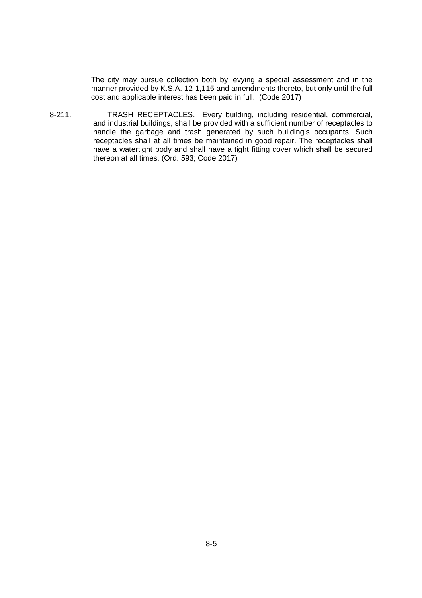The city may pursue collection both by levying a special assessment and in the manner provided by K.S.A. 12-1,115 and amendments thereto, but only until the full cost and applicable interest has been paid in full. (Code 2017)

8-211. TRASH RECEPTACLES. Every building, including residential, commercial, and industrial buildings, shall be provided with a sufficient number of receptacles to handle the garbage and trash generated by such building's occupants. Such receptacles shall at all times be maintained in good repair. The receptacles shall have a watertight body and shall have a tight fitting cover which shall be secured thereon at all times. (Ord. 593; Code 2017)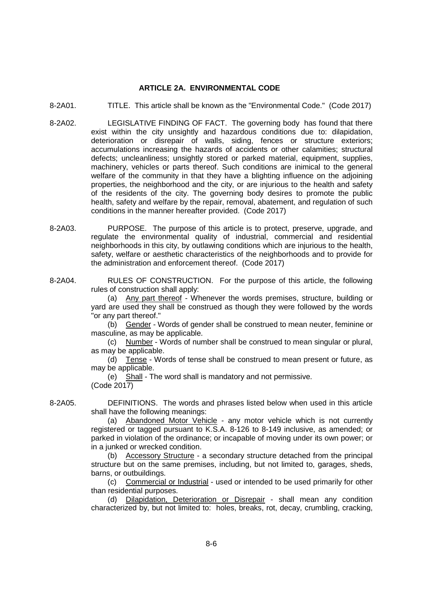### **ARTICLE 2A. ENVIRONMENTAL CODE**

- 8-2A01. TITLE. This article shall be known as the "Environmental Code." (Code 2017)
- 8-2A02. LEGISLATIVE FINDING OF FACT. The governing body has found that there exist within the city unsightly and hazardous conditions due to: dilapidation, deterioration or disrepair of walls, siding, fences or structure exteriors; accumulations increasing the hazards of accidents or other calamities; structural defects; uncleanliness; unsightly stored or parked material, equipment, supplies, machinery, vehicles or parts thereof. Such conditions are inimical to the general welfare of the community in that they have a blighting influence on the adjoining properties, the neighborhood and the city, or are injurious to the health and safety of the residents of the city. The governing body desires to promote the public health, safety and welfare by the repair, removal, abatement, and regulation of such conditions in the manner hereafter provided. (Code 2017)
- 8-2A03. PURPOSE. The purpose of this article is to protect, preserve, upgrade, and regulate the environmental quality of industrial, commercial and residential neighborhoods in this city, by outlawing conditions which are injurious to the health, safety, welfare or aesthetic characteristics of the neighborhoods and to provide for the administration and enforcement thereof. (Code 2017)
- 8-2A04. RULES OF CONSTRUCTION. For the purpose of this article, the following rules of construction shall apply:

(a) Any part thereof - Whenever the words premises, structure, building or yard are used they shall be construed as though they were followed by the words "or any part thereof."

(b) Gender - Words of gender shall be construed to mean neuter, feminine or masculine, as may be applicable.

(c) Number - Words of number shall be construed to mean singular or plural, as may be applicable.

(d) Tense - Words of tense shall be construed to mean present or future, as may be applicable.

(e) Shall - The word shall is mandatory and not permissive. (Code 2017)

8-2A05. DEFINITIONS. The words and phrases listed below when used in this article shall have the following meanings:

> (a) Abandoned Motor Vehicle - any motor vehicle which is not currently registered or tagged pursuant to K.S.A. 8-126 to 8-149 inclusive, as amended; or parked in violation of the ordinance; or incapable of moving under its own power; or in a junked or wrecked condition.

> (b) Accessory Structure - a secondary structure detached from the principal structure but on the same premises, including, but not limited to, garages, sheds, barns, or outbuildings.

> (c) Commercial or Industrial - used or intended to be used primarily for other than residential purposes.

> (d) Dilapidation, Deterioration or Disrepair - shall mean any condition characterized by, but not limited to: holes, breaks, rot, decay, crumbling, cracking,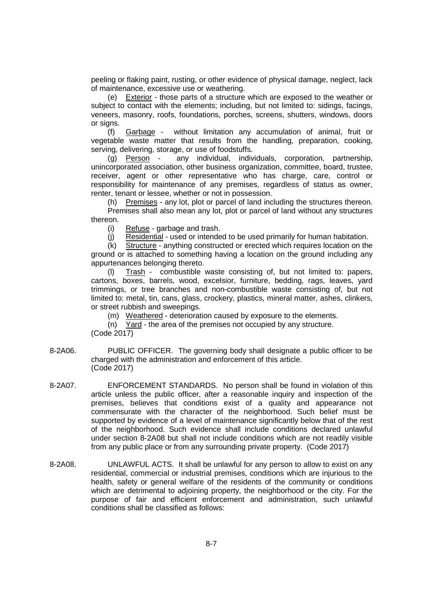peeling or flaking paint, rusting, or other evidence of physical damage, neglect, lack of maintenance, excessive use or weathering.

(e) Exterior - those parts of a structure which are exposed to the weather or subject to contact with the elements; including, but not limited to: sidings, facings, veneers, masonry, roofs, foundations, porches, screens, shutters, windows, doors or signs.

(f) Garbage - without limitation any accumulation of animal, fruit or vegetable waste matter that results from the handling, preparation, cooking, serving, delivering, storage, or use of foodstuffs.

(g) Person - any individual, individuals, corporation, partnership, unincorporated association, other business organization, committee, board, trustee, receiver, agent or other representative who has charge, care, control or responsibility for maintenance of any premises, regardless of status as owner, renter, tenant or lessee, whether or not in possession.

(h) Premises - any lot, plot or parcel of land including the structures thereon. Premises shall also mean any lot, plot or parcel of land without any structures thereon.

(i) Refuse - garbage and trash.

(j) Residential - used or intended to be used primarily for human habitation.

(k) Structure - anything constructed or erected which requires location on the ground or is attached to something having a location on the ground including any appurtenances belonging thereto.

(l) Trash - combustible waste consisting of, but not limited to: papers, cartons, boxes, barrels, wood, excelsior, furniture, bedding, rags, leaves, yard trimmings, or tree branches and non-combustible waste consisting of, but not limited to: metal, tin, cans, glass, crockery, plastics, mineral matter, ashes, clinkers, or street rubbish and sweepings.

(m) Weathered - deterioration caused by exposure to the elements.

(n) Yard - the area of the premises not occupied by any structure.

(Code 2017)

- 8-2A06. PUBLIC OFFICER. The governing body shall designate a public officer to be charged with the administration and enforcement of this article. (Code 2017)
- 8-2A07. ENFORCEMENT STANDARDS. No person shall be found in violation of this article unless the public officer, after a reasonable inquiry and inspection of the premises, believes that conditions exist of a quality and appearance not commensurate with the character of the neighborhood. Such belief must be supported by evidence of a level of maintenance significantly below that of the rest of the neighborhood. Such evidence shall include conditions declared unlawful under section 8-2A08 but shall not include conditions which are not readily visible from any public place or from any surrounding private property. (Code 2017)
- 8-2A08. UNLAWFUL ACTS. It shall be unlawful for any person to allow to exist on any residential, commercial or industrial premises, conditions which are injurious to the health, safety or general welfare of the residents of the community or conditions which are detrimental to adjoining property, the neighborhood or the city. For the purpose of fair and efficient enforcement and administration, such unlawful conditions shall be classified as follows: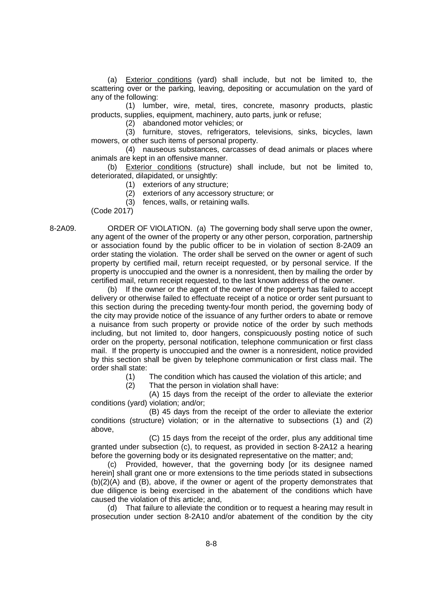(a) Exterior conditions (yard) shall include, but not be limited to, the scattering over or the parking, leaving, depositing or accumulation on the yard of any of the following:

(1) lumber, wire, metal, tires, concrete, masonry products, plastic products, supplies, equipment, machinery, auto parts, junk or refuse;

(2) abandoned motor vehicles; or

(3) furniture, stoves, refrigerators, televisions, sinks, bicycles, lawn mowers, or other such items of personal property.

(4) nauseous substances, carcasses of dead animals or places where animals are kept in an offensive manner.

(b) Exterior conditions (structure) shall include, but not be limited to, deteriorated, dilapidated, or unsightly:

(1) exteriors of any structure;

(2) exteriors of any accessory structure; or

(3) fences, walls, or retaining walls.

(Code 2017)

8-2A09. ORDER OF VIOLATION. (a) The governing body shall serve upon the owner, any agent of the owner of the property or any other person, corporation, partnership or association found by the public officer to be in violation of section 8-2A09 an order stating the violation. The order shall be served on the owner or agent of such property by certified mail, return receipt requested, or by personal service. If the property is unoccupied and the owner is a nonresident, then by mailing the order by certified mail, return receipt requested, to the last known address of the owner.

> (b) If the owner or the agent of the owner of the property has failed to accept delivery or otherwise failed to effectuate receipt of a notice or order sent pursuant to this section during the preceding twenty-four month period, the governing body of the city may provide notice of the issuance of any further orders to abate or remove a nuisance from such property or provide notice of the order by such methods including, but not limited to, door hangers, conspicuously posting notice of such order on the property, personal notification, telephone communication or first class mail. If the property is unoccupied and the owner is a nonresident, notice provided by this section shall be given by telephone communication or first class mail. The order shall state:

(1) The condition which has caused the violation of this article; and

(2) That the person in violation shall have:

(A) 15 days from the receipt of the order to alleviate the exterior conditions (yard) violation; and/or;

(B) 45 days from the receipt of the order to alleviate the exterior conditions (structure) violation; or in the alternative to subsections (1) and (2) above,

(C) 15 days from the receipt of the order, plus any additional time granted under subsection (c), to request, as provided in section 8-2A12 a hearing before the governing body or its designated representative on the matter; and;

(c) Provided, however, that the governing body [or its designee named herein] shall grant one or more extensions to the time periods stated in subsections (b)(2)(A) and (B), above, if the owner or agent of the property demonstrates that due diligence is being exercised in the abatement of the conditions which have caused the violation of this article; and,

That failure to alleviate the condition or to request a hearing may result in prosecution under section 8-2A10 and/or abatement of the condition by the city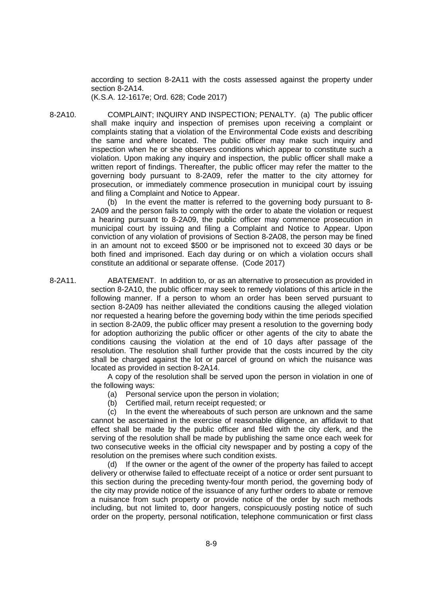according to section 8-2A11 with the costs assessed against the property under section 8-2A14.

(K.S.A. 12-1617e; Ord. 628; Code 2017)

8-2A10. COMPLAINT; INQUIRY AND INSPECTION; PENALTY. (a) The public officer shall make inquiry and inspection of premises upon receiving a complaint or complaints stating that a violation of the Environmental Code exists and describing the same and where located. The public officer may make such inquiry and inspection when he or she observes conditions which appear to constitute such a violation. Upon making any inquiry and inspection, the public officer shall make a written report of findings. Thereafter, the public officer may refer the matter to the governing body pursuant to 8-2A09, refer the matter to the city attorney for prosecution, or immediately commence prosecution in municipal court by issuing and filing a Complaint and Notice to Appear.

> (b) In the event the matter is referred to the governing body pursuant to 8- 2A09 and the person fails to comply with the order to abate the violation or request a hearing pursuant to 8-2A09, the public officer may commence prosecution in municipal court by issuing and filing a Complaint and Notice to Appear. Upon conviction of any violation of provisions of Section 8-2A08, the person may be fined in an amount not to exceed \$500 or be imprisoned not to exceed 30 days or be both fined and imprisoned. Each day during or on which a violation occurs shall constitute an additional or separate offense. (Code 2017)

8-2A11. ABATEMENT. In addition to, or as an alternative to prosecution as provided in section 8-2A10, the public officer may seek to remedy violations of this article in the following manner. If a person to whom an order has been served pursuant to section 8-2A09 has neither alleviated the conditions causing the alleged violation nor requested a hearing before the governing body within the time periods specified in section 8-2A09, the public officer may present a resolution to the governing body for adoption authorizing the public officer or other agents of the city to abate the conditions causing the violation at the end of 10 days after passage of the resolution. The resolution shall further provide that the costs incurred by the city shall be charged against the lot or parcel of ground on which the nuisance was located as provided in section 8-2A14.

A copy of the resolution shall be served upon the person in violation in one of the following ways:

- (a) Personal service upon the person in violation;
- (b) Certified mail, return receipt requested; or

(c) In the event the whereabouts of such person are unknown and the same cannot be ascertained in the exercise of reasonable diligence, an affidavit to that effect shall be made by the public officer and filed with the city clerk, and the serving of the resolution shall be made by publishing the same once each week for two consecutive weeks in the official city newspaper and by posting a copy of the resolution on the premises where such condition exists.

(d) If the owner or the agent of the owner of the property has failed to accept delivery or otherwise failed to effectuate receipt of a notice or order sent pursuant to this section during the preceding twenty-four month period, the governing body of the city may provide notice of the issuance of any further orders to abate or remove a nuisance from such property or provide notice of the order by such methods including, but not limited to, door hangers, conspicuously posting notice of such order on the property, personal notification, telephone communication or first class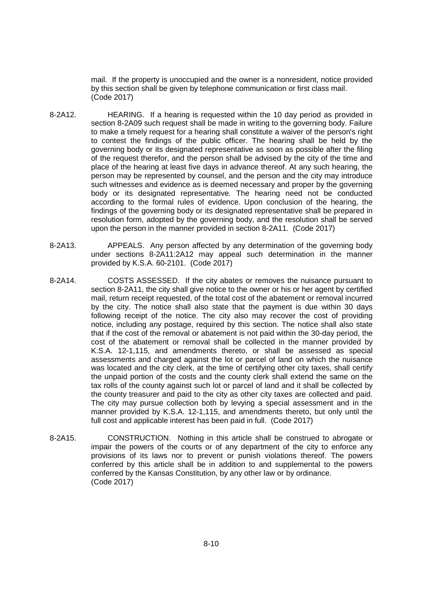mail. If the property is unoccupied and the owner is a nonresident, notice provided by this section shall be given by telephone communication or first class mail. (Code 2017)

- 8-2A12. HEARING. If a hearing is requested within the 10 day period as provided in section 8-2A09 such request shall be made in writing to the governing body. Failure to make a timely request for a hearing shall constitute a waiver of the person's right to contest the findings of the public officer. The hearing shall be held by the governing body or its designated representative as soon as possible after the filing of the request therefor, and the person shall be advised by the city of the time and place of the hearing at least five days in advance thereof. At any such hearing, the person may be represented by counsel, and the person and the city may introduce such witnesses and evidence as is deemed necessary and proper by the governing body or its designated representative. The hearing need not be conducted according to the formal rules of evidence. Upon conclusion of the hearing, the findings of the governing body or its designated representative shall be prepared in resolution form, adopted by the governing body, and the resolution shall be served upon the person in the manner provided in section 8-2A11. (Code 2017)
- 8-2A13. APPEALS. Any person affected by any determination of the governing body under sections 8-2A11:2A12 may appeal such determination in the manner provided by K.S.A. 60-2101. (Code 2017)
- 8-2A14. COSTS ASSESSED. If the city abates or removes the nuisance pursuant to section 8-2A11, the city shall give notice to the owner or his or her agent by certified mail, return receipt requested, of the total cost of the abatement or removal incurred by the city. The notice shall also state that the payment is due within 30 days following receipt of the notice. The city also may recover the cost of providing notice, including any postage, required by this section. The notice shall also state that if the cost of the removal or abatement is not paid within the 30-day period, the cost of the abatement or removal shall be collected in the manner provided by K.S.A. 12-1,115, and amendments thereto, or shall be assessed as special assessments and charged against the lot or parcel of land on which the nuisance was located and the city clerk, at the time of certifying other city taxes, shall certify the unpaid portion of the costs and the county clerk shall extend the same on the tax rolls of the county against such lot or parcel of land and it shall be collected by the county treasurer and paid to the city as other city taxes are collected and paid. The city may pursue collection both by levying a special assessment and in the manner provided by K.S.A. 12-1,115, and amendments thereto, but only until the full cost and applicable interest has been paid in full. (Code 2017)
- 8-2A15. CONSTRUCTION. Nothing in this article shall be construed to abrogate or impair the powers of the courts or of any department of the city to enforce any provisions of its laws nor to prevent or punish violations thereof. The powers conferred by this article shall be in addition to and supplemental to the powers conferred by the Kansas Constitution, by any other law or by ordinance. (Code 2017)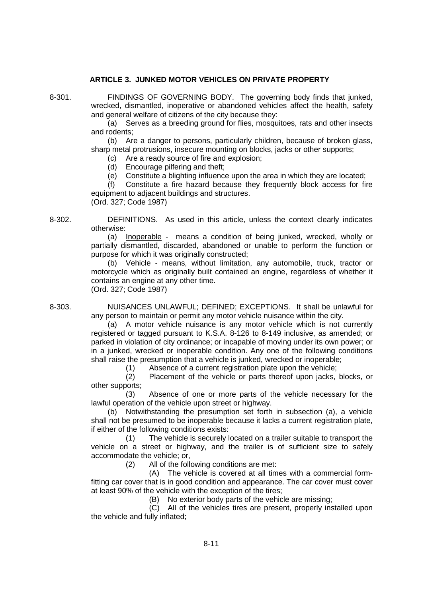## **ARTICLE 3. JUNKED MOTOR VEHICLES ON PRIVATE PROPERTY**

8-301. FINDINGS OF GOVERNING BODY. The governing body finds that junked, wrecked, dismantled, inoperative or abandoned vehicles affect the health, safety and general welfare of citizens of the city because they:

(a) Serves as a breeding ground for flies, mosquitoes, rats and other insects and rodents;

(b) Are a danger to persons, particularly children, because of broken glass, sharp metal protrusions, insecure mounting on blocks, jacks or other supports;

(c) Are a ready source of fire and explosion;

(d) Encourage pilfering and theft;

(e) Constitute a blighting influence upon the area in which they are located;

(f) Constitute a fire hazard because they frequently block access for fire equipment to adjacent buildings and structures.

(Ord. 327; Code 1987)

8-302. DEFINITIONS. As used in this article, unless the context clearly indicates otherwise:

(a) Inoperable - means a condition of being junked, wrecked, wholly or partially dismantled, discarded, abandoned or unable to perform the function or purpose for which it was originally constructed;

(b) Vehicle - means, without limitation, any automobile, truck, tractor or motorcycle which as originally built contained an engine, regardless of whether it contains an engine at any other time. (Ord. 327; Code 1987)

8-303. NUISANCES UNLAWFUL; DEFINED; EXCEPTIONS. It shall be unlawful for any person to maintain or permit any motor vehicle nuisance within the city.

(a) A motor vehicle nuisance is any motor vehicle which is not currently registered or tagged pursuant to K.S.A. 8-126 to 8-149 inclusive, as amended; or parked in violation of city ordinance; or incapable of moving under its own power; or in a junked, wrecked or inoperable condition. Any one of the following conditions shall raise the presumption that a vehicle is junked, wrecked or inoperable;

(1) Absence of a current registration plate upon the vehicle;

(2) Placement of the vehicle or parts thereof upon jacks, blocks, or other supports;

(3) Absence of one or more parts of the vehicle necessary for the lawful operation of the vehicle upon street or highway.

(b) Notwithstanding the presumption set forth in subsection (a), a vehicle shall not be presumed to be inoperable because it lacks a current registration plate, if either of the following conditions exists:

(1) The vehicle is securely located on a trailer suitable to transport the vehicle on a street or highway, and the trailer is of sufficient size to safely accommodate the vehicle; or,

(2) All of the following conditions are met:

(A) The vehicle is covered at all times with a commercial formfitting car cover that is in good condition and appearance. The car cover must cover at least 90% of the vehicle with the exception of the tires;

(B) No exterior body parts of the vehicle are missing;

(C) All of the vehicles tires are present, properly installed upon the vehicle and fully inflated;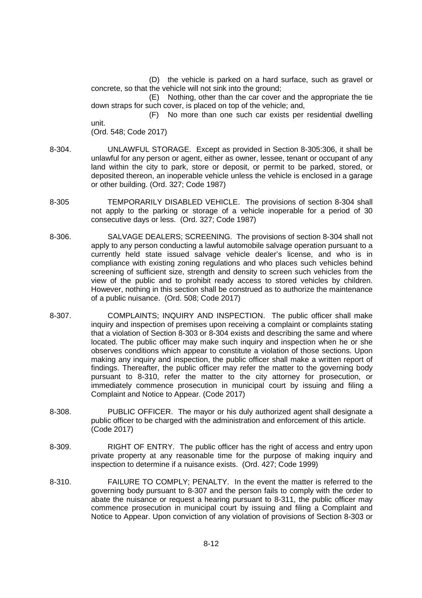(D) the vehicle is parked on a hard surface, such as gravel or concrete, so that the vehicle will not sink into the ground;

(E) Nothing, other than the car cover and the appropriate the tie down straps for such cover, is placed on top of the vehicle; and,

(F) No more than one such car exists per residential dwelling unit.

(Ord. 548; Code 2017)

- 8-304. UNLAWFUL STORAGE. Except as provided in Section 8-305:306, it shall be unlawful for any person or agent, either as owner, lessee, tenant or occupant of any land within the city to park, store or deposit, or permit to be parked, stored, or deposited thereon, an inoperable vehicle unless the vehicle is enclosed in a garage or other building. (Ord. 327; Code 1987)
- 8-305 TEMPORARILY DISABLED VEHICLE. The provisions of section 8-304 shall not apply to the parking or storage of a vehicle inoperable for a period of 30 consecutive days or less. (Ord. 327; Code 1987)
- 8-306. SALVAGE DEALERS; SCREENING. The provisions of section 8-304 shall not apply to any person conducting a lawful automobile salvage operation pursuant to a currently held state issued salvage vehicle dealer's license, and who is in compliance with existing zoning regulations and who places such vehicles behind screening of sufficient size, strength and density to screen such vehicles from the view of the public and to prohibit ready access to stored vehicles by children. However, nothing in this section shall be construed as to authorize the maintenance of a public nuisance. (Ord. 508; Code 2017)
- 8-307. COMPLAINTS; INQUIRY AND INSPECTION. The public officer shall make inquiry and inspection of premises upon receiving a complaint or complaints stating that a violation of Section 8-303 or 8-304 exists and describing the same and where located. The public officer may make such inquiry and inspection when he or she observes conditions which appear to constitute a violation of those sections. Upon making any inquiry and inspection, the public officer shall make a written report of findings. Thereafter, the public officer may refer the matter to the governing body pursuant to 8-310, refer the matter to the city attorney for prosecution, or immediately commence prosecution in municipal court by issuing and filing a Complaint and Notice to Appear. (Code 2017)
- 8-308. PUBLIC OFFICER. The mayor or his duly authorized agent shall designate a public officer to be charged with the administration and enforcement of this article. (Code 2017)
- 8-309. RIGHT OF ENTRY. The public officer has the right of access and entry upon private property at any reasonable time for the purpose of making inquiry and inspection to determine if a nuisance exists. (Ord. 427; Code 1999)
- 8-310. FAILURE TO COMPLY; PENALTY. In the event the matter is referred to the governing body pursuant to 8-307 and the person fails to comply with the order to abate the nuisance or request a hearing pursuant to 8-311, the public officer may commence prosecution in municipal court by issuing and filing a Complaint and Notice to Appear. Upon conviction of any violation of provisions of Section 8-303 or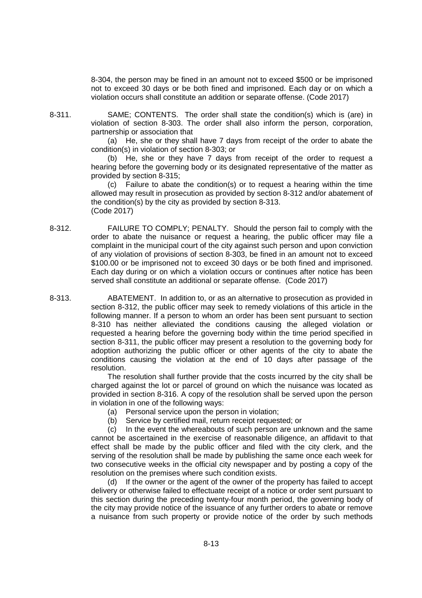8-304, the person may be fined in an amount not to exceed \$500 or be imprisoned not to exceed 30 days or be both fined and imprisoned. Each day or on which a violation occurs shall constitute an addition or separate offense. (Code 2017)

8-311. SAME; CONTENTS. The order shall state the condition(s) which is (are) in violation of section 8-303. The order shall also inform the person, corporation, partnership or association that

> (a) He, she or they shall have 7 days from receipt of the order to abate the condition(s) in violation of section 8-303; or

> (b) He, she or they have 7 days from receipt of the order to request a hearing before the governing body or its designated representative of the matter as provided by section 8-315;

> (c) Failure to abate the condition(s) or to request a hearing within the time allowed may result in prosecution as provided by section 8-312 and/or abatement of the condition(s) by the city as provided by section 8-313. (Code 2017)

- 8-312. FAILURE TO COMPLY; PENALTY. Should the person fail to comply with the order to abate the nuisance or request a hearing, the public officer may file a complaint in the municipal court of the city against such person and upon conviction of any violation of provisions of section 8-303, be fined in an amount not to exceed \$100.00 or be imprisoned not to exceed 30 days or be both fined and imprisoned. Each day during or on which a violation occurs or continues after notice has been served shall constitute an additional or separate offense. (Code 2017)
- 8-313. ABATEMENT. In addition to, or as an alternative to prosecution as provided in section 8-312, the public officer may seek to remedy violations of this article in the following manner. If a person to whom an order has been sent pursuant to section 8-310 has neither alleviated the conditions causing the alleged violation or requested a hearing before the governing body within the time period specified in section 8-311, the public officer may present a resolution to the governing body for adoption authorizing the public officer or other agents of the city to abate the conditions causing the violation at the end of 10 days after passage of the resolution.

The resolution shall further provide that the costs incurred by the city shall be charged against the lot or parcel of ground on which the nuisance was located as provided in section 8-316. A copy of the resolution shall be served upon the person in violation in one of the following ways:

- (a) Personal service upon the person in violation;
- (b) Service by certified mail, return receipt requested; or

(c) In the event the whereabouts of such person are unknown and the same cannot be ascertained in the exercise of reasonable diligence, an affidavit to that effect shall be made by the public officer and filed with the city clerk, and the serving of the resolution shall be made by publishing the same once each week for two consecutive weeks in the official city newspaper and by posting a copy of the resolution on the premises where such condition exists.

(d) If the owner or the agent of the owner of the property has failed to accept delivery or otherwise failed to effectuate receipt of a notice or order sent pursuant to this section during the preceding twenty-four month period, the governing body of the city may provide notice of the issuance of any further orders to abate or remove a nuisance from such property or provide notice of the order by such methods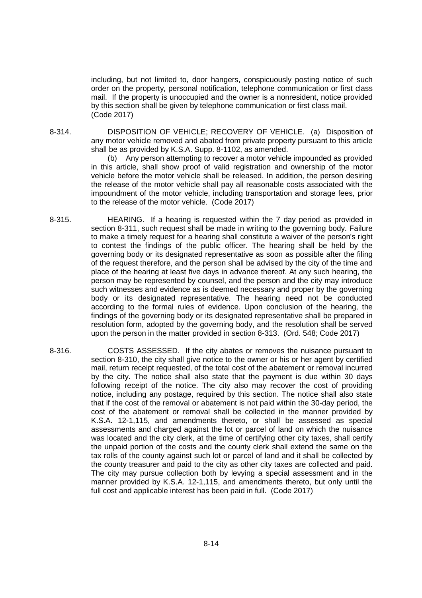including, but not limited to, door hangers, conspicuously posting notice of such order on the property, personal notification, telephone communication or first class mail. If the property is unoccupied and the owner is a nonresident, notice provided by this section shall be given by telephone communication or first class mail. (Code 2017)

8-314. DISPOSITION OF VEHICLE; RECOVERY OF VEHICLE. (a) Disposition of any motor vehicle removed and abated from private property pursuant to this article shall be as provided by K.S.A. Supp. 8-1102, as amended.

(b) Any person attempting to recover a motor vehicle impounded as provided in this article, shall show proof of valid registration and ownership of the motor vehicle before the motor vehicle shall be released. In addition, the person desiring the release of the motor vehicle shall pay all reasonable costs associated with the impoundment of the motor vehicle, including transportation and storage fees, prior to the release of the motor vehicle. (Code 2017)

- 8-315. HEARING. If a hearing is requested within the 7 day period as provided in section 8-311, such request shall be made in writing to the governing body. Failure to make a timely request for a hearing shall constitute a waiver of the person's right to contest the findings of the public officer. The hearing shall be held by the governing body or its designated representative as soon as possible after the filing of the request therefore, and the person shall be advised by the city of the time and place of the hearing at least five days in advance thereof. At any such hearing, the person may be represented by counsel, and the person and the city may introduce such witnesses and evidence as is deemed necessary and proper by the governing body or its designated representative. The hearing need not be conducted according to the formal rules of evidence. Upon conclusion of the hearing, the findings of the governing body or its designated representative shall be prepared in resolution form, adopted by the governing body, and the resolution shall be served upon the person in the matter provided in section 8-313. (Ord. 548; Code 2017)
- 8-316. COSTS ASSESSED. If the city abates or removes the nuisance pursuant to section 8-310, the city shall give notice to the owner or his or her agent by certified mail, return receipt requested, of the total cost of the abatement or removal incurred by the city. The notice shall also state that the payment is due within 30 days following receipt of the notice. The city also may recover the cost of providing notice, including any postage, required by this section. The notice shall also state that if the cost of the removal or abatement is not paid within the 30-day period, the cost of the abatement or removal shall be collected in the manner provided by K.S.A. 12-1,115, and amendments thereto, or shall be assessed as special assessments and charged against the lot or parcel of land on which the nuisance was located and the city clerk, at the time of certifying other city taxes, shall certify the unpaid portion of the costs and the county clerk shall extend the same on the tax rolls of the county against such lot or parcel of land and it shall be collected by the county treasurer and paid to the city as other city taxes are collected and paid. The city may pursue collection both by levying a special assessment and in the manner provided by K.S.A. 12-1,115, and amendments thereto, but only until the full cost and applicable interest has been paid in full. (Code 2017)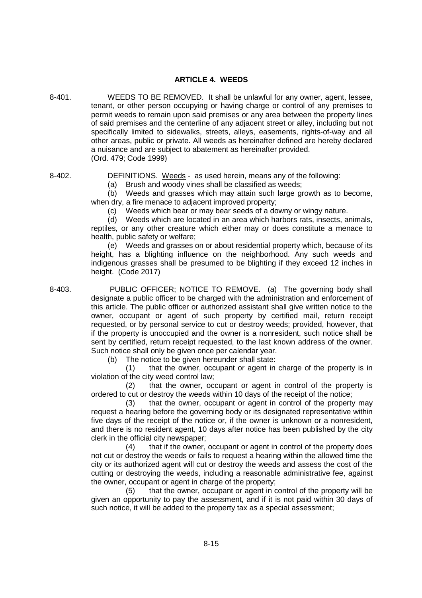## **ARTICLE 4. WEEDS**

- 8-401. WEEDS TO BE REMOVED. It shall be unlawful for any owner, agent, lessee, tenant, or other person occupying or having charge or control of any premises to permit weeds to remain upon said premises or any area between the property lines of said premises and the centerline of any adjacent street or alley, including but not specifically limited to sidewalks, streets, alleys, easements, rights-of-way and all other areas, public or private. All weeds as hereinafter defined are hereby declared a nuisance and are subject to abatement as hereinafter provided. (Ord. 479; Code 1999)
- 

8-402. DEFINITIONS. Weeds - as used herein, means any of the following:

(a) Brush and woody vines shall be classified as weeds;

(b) Weeds and grasses which may attain such large growth as to become, when dry, a fire menace to adjacent improved property;

(c) Weeds which bear or may bear seeds of a downy or wingy nature.

(d) Weeds which are located in an area which harbors rats, insects, animals, reptiles, or any other creature which either may or does constitute a menace to health, public safety or welfare;

(e) Weeds and grasses on or about residential property which, because of its height, has a blighting influence on the neighborhood. Any such weeds and indigenous grasses shall be presumed to be blighting if they exceed 12 inches in height. (Code 2017)

8-403. PUBLIC OFFICER; NOTICE TO REMOVE. (a) The governing body shall designate a public officer to be charged with the administration and enforcement of this article. The public officer or authorized assistant shall give written notice to the owner, occupant or agent of such property by certified mail, return receipt requested, or by personal service to cut or destroy weeds; provided, however, that if the property is unoccupied and the owner is a nonresident, such notice shall be sent by certified, return receipt requested, to the last known address of the owner. Such notice shall only be given once per calendar year.

(b) The notice to be given hereunder shall state:

(1) that the owner, occupant or agent in charge of the property is in violation of the city weed control law;

(2) that the owner, occupant or agent in control of the property is ordered to cut or destroy the weeds within 10 days of the receipt of the notice;

(3) that the owner, occupant or agent in control of the property may request a hearing before the governing body or its designated representative within five days of the receipt of the notice or, if the owner is unknown or a nonresident, and there is no resident agent, 10 days after notice has been published by the city clerk in the official city newspaper;

(4) that if the owner, occupant or agent in control of the property does not cut or destroy the weeds or fails to request a hearing within the allowed time the city or its authorized agent will cut or destroy the weeds and assess the cost of the cutting or destroying the weeds, including a reasonable administrative fee, against the owner, occupant or agent in charge of the property;

(5) that the owner, occupant or agent in control of the property will be given an opportunity to pay the assessment, and if it is not paid within 30 days of such notice, it will be added to the property tax as a special assessment;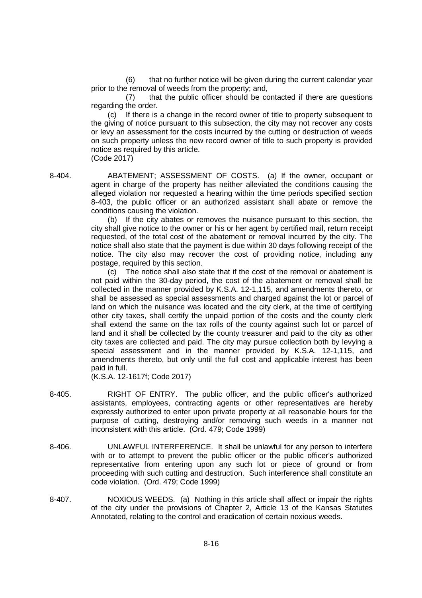(6) that no further notice will be given during the current calendar year prior to the removal of weeds from the property; and,

(7) that the public officer should be contacted if there are questions regarding the order.

(c) If there is a change in the record owner of title to property subsequent to the giving of notice pursuant to this subsection, the city may not recover any costs or levy an assessment for the costs incurred by the cutting or destruction of weeds on such property unless the new record owner of title to such property is provided notice as required by this article.

(Code 2017)

8-404. ABATEMENT; ASSESSMENT OF COSTS. (a) If the owner, occupant or agent in charge of the property has neither alleviated the conditions causing the alleged violation nor requested a hearing within the time periods specified section 8-403, the public officer or an authorized assistant shall abate or remove the conditions causing the violation.

> (b) If the city abates or removes the nuisance pursuant to this section, the city shall give notice to the owner or his or her agent by certified mail, return receipt requested, of the total cost of the abatement or removal incurred by the city. The notice shall also state that the payment is due within 30 days following receipt of the notice. The city also may recover the cost of providing notice, including any postage, required by this section.

> (c) The notice shall also state that if the cost of the removal or abatement is not paid within the 30-day period, the cost of the abatement or removal shall be collected in the manner provided by K.S.A. 12-1,115, and amendments thereto, or shall be assessed as special assessments and charged against the lot or parcel of land on which the nuisance was located and the city clerk, at the time of certifying other city taxes, shall certify the unpaid portion of the costs and the county clerk shall extend the same on the tax rolls of the county against such lot or parcel of land and it shall be collected by the county treasurer and paid to the city as other city taxes are collected and paid. The city may pursue collection both by levying a special assessment and in the manner provided by K.S.A. 12-1,115, and amendments thereto, but only until the full cost and applicable interest has been paid in full.

(K.S.A. 12-1617f; Code 2017)

- 8-405. RIGHT OF ENTRY. The public officer, and the public officer's authorized assistants, employees, contracting agents or other representatives are hereby expressly authorized to enter upon private property at all reasonable hours for the purpose of cutting, destroying and/or removing such weeds in a manner not inconsistent with this article. (Ord. 479; Code 1999)
- 8-406. UNLAWFUL INTERFERENCE. It shall be unlawful for any person to interfere with or to attempt to prevent the public officer or the public officer's authorized representative from entering upon any such lot or piece of ground or from proceeding with such cutting and destruction. Such interference shall constitute an code violation. (Ord. 479; Code 1999)
- 8-407. NOXIOUS WEEDS. (a) Nothing in this article shall affect or impair the rights of the city under the provisions of Chapter 2, Article 13 of the Kansas Statutes Annotated, relating to the control and eradication of certain noxious weeds.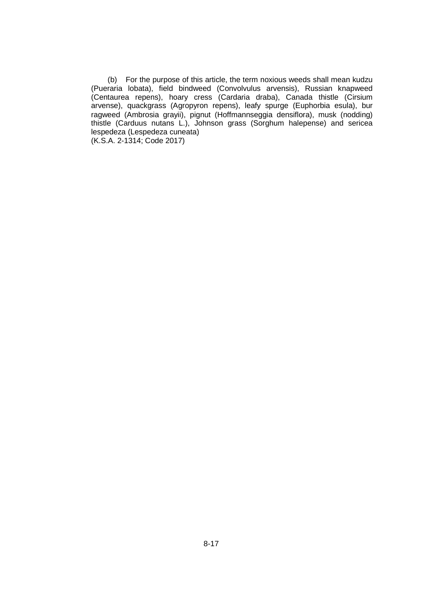(b) For the purpose of this article, the term noxious weeds shall mean kudzu (Pueraria lobata), field bindweed (Convolvulus arvensis), Russian knapweed (Centaurea repens), hoary cress (Cardaria draba), Canada thistle (Cirsium arvense), quackgrass (Agropyron repens), leafy spurge (Euphorbia esula), bur ragweed (Ambrosia grayii), pignut (Hoffmannseggia densiflora), musk (nodding) thistle (Carduus nutans L.), Johnson grass (Sorghum halepense) and sericea lespedeza (Lespedeza cuneata) (K.S.A. 2-1314; Code 2017)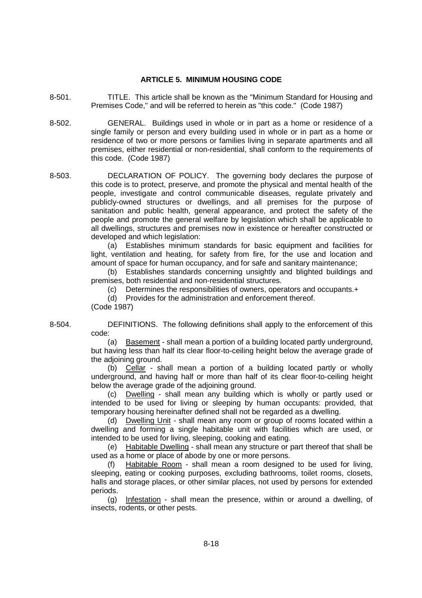### **ARTICLE 5. MINIMUM HOUSING CODE**

- 8-501. TITLE. This article shall be known as the "Minimum Standard for Housing and Premises Code," and will be referred to herein as "this code." (Code 1987)
- 8-502. GENERAL. Buildings used in whole or in part as a home or residence of a single family or person and every building used in whole or in part as a home or residence of two or more persons or families living in separate apartments and all premises, either residential or non-residential, shall conform to the requirements of this code. (Code 1987)
- 8-503. DECLARATION OF POLICY. The governing body declares the purpose of this code is to protect, preserve, and promote the physical and mental health of the people, investigate and control communicable diseases, regulate privately and publicly-owned structures or dwellings, and all premises for the purpose of sanitation and public health, general appearance, and protect the safety of the people and promote the general welfare by legislation which shall be applicable to all dwellings, structures and premises now in existence or hereafter constructed or developed and which legislation:

(a) Establishes minimum standards for basic equipment and facilities for light, ventilation and heating, for safety from fire, for the use and location and amount of space for human occupancy, and for safe and sanitary maintenance;

(b) Establishes standards concerning unsightly and blighted buildings and premises, both residential and non-residential structures.

(c) Determines the responsibilities of owners, operators and occupants.+

(d) Provides for the administration and enforcement thereof.

(Code 1987)

8-504. DEFINITIONS. The following definitions shall apply to the enforcement of this code:

> (a) Basement - shall mean a portion of a building located partly underground, but having less than half its clear floor-to-ceiling height below the average grade of the adjoining ground.

> (b) Cellar - shall mean a portion of a building located partly or wholly underground, and having half or more than half of its clear floor-to-ceiling height below the average grade of the adjoining ground.

> (c) Dwelling - shall mean any building which is wholly or partly used or intended to be used for living or sleeping by human occupants: provided, that temporary housing hereinafter defined shall not be regarded as a dwelling.

> (d) Dwelling Unit - shall mean any room or group of rooms located within a dwelling and forming a single habitable unit with facilities which are used, or intended to be used for living, sleeping, cooking and eating.

> (e) Habitable Dwelling - shall mean any structure or part thereof that shall be used as a home or place of abode by one or more persons.

> (f) Habitable Room - shall mean a room designed to be used for living, sleeping, eating or cooking purposes, excluding bathrooms, toilet rooms, closets, halls and storage places, or other similar places, not used by persons for extended periods.

> (g) Infestation - shall mean the presence, within or around a dwelling, of insects, rodents, or other pests.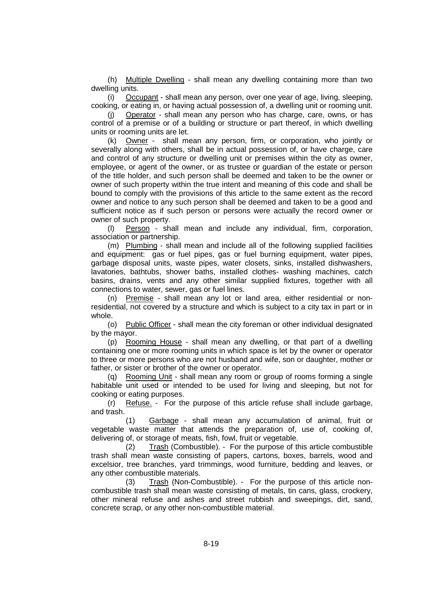(h) Multiple Dwelling - shall mean any dwelling containing more than two dwelling units.

(i) Occupant - shall mean any person, over one year of age, living, sleeping, cooking, or eating in, or having actual possession of, a dwelling unit or rooming unit.

(j) Operator - shall mean any person who has charge, care, owns, or has control of a premise or of a building or structure or part thereof, in which dwelling units or rooming units are let.

(k) Owner - shall mean any person, firm, or corporation, who jointly or severally along with others, shall be in actual possession of, or have charge, care and control of any structure or dwelling unit or premises within the city as owner, employee, or agent of the owner, or as trustee or guardian of the estate or person of the title holder, and such person shall be deemed and taken to be the owner or owner of such property within the true intent and meaning of this code and shall be bound to comply with the provisions of this article to the same extent as the record owner and notice to any such person shall be deemed and taken to be a good and sufficient notice as if such person or persons were actually the record owner or owner of such property.

(l) Person - shall mean and include any individual, firm, corporation, association or partnership.

(m) Plumbing - shall mean and include all of the following supplied facilities and equipment: gas or fuel pipes, gas or fuel burning equipment, water pipes, garbage disposal units, waste pipes, water closets, sinks, installed dishwashers, lavatories, bathtubs, shower baths, installed clothes- washing machines, catch basins, drains, vents and any other similar supplied fixtures, together with all connections to water, sewer, gas or fuel lines.

(n) Premise - shall mean any lot or land area, either residential or nonresidential, not covered by a structure and which is subject to a city tax in part or in whole.

(o) Public Officer - shall mean the city foreman or other individual designated by the mayor.

(p) Rooming House - shall mean any dwelling, or that part of a dwelling containing one or more rooming units in which space is let by the owner or operator to three or more persons who are not husband and wife, son or daughter, mother or father, or sister or brother of the owner or operator.

(q) Rooming Unit - shall mean any room or group of rooms forming a single habitable unit used or intended to be used for living and sleeping, but not for cooking or eating purposes.

(r) Refuse. - For the purpose of this article refuse shall include garbage, and trash.

(1) Garbage - shall mean any accumulation of animal, fruit or vegetable waste matter that attends the preparation of, use of, cooking of, delivering of, or storage of meats, fish, fowl, fruit or vegetable.

(2) Trash (Combustible). - For the purpose of this article combustible trash shall mean waste consisting of papers, cartons, boxes, barrels, wood and excelsior, tree branches, yard trimmings, wood furniture, bedding and leaves, or any other combustible materials.

Trash (Non-Combustible). - For the purpose of this article noncombustible trash shall mean waste consisting of metals, tin cans, glass, crockery, other mineral refuse and ashes and street rubbish and sweepings, dirt, sand, concrete scrap, or any other non-combustible material.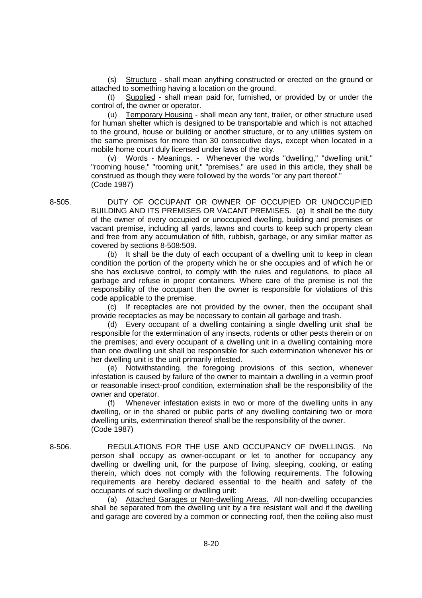(s) Structure - shall mean anything constructed or erected on the ground or attached to something having a location on the ground.

(t) Supplied - shall mean paid for, furnished, or provided by or under the control of, the owner or operator.

(u) Temporary Housing - shall mean any tent, trailer, or other structure used for human shelter which is designed to be transportable and which is not attached to the ground, house or building or another structure, or to any utilities system on the same premises for more than 30 consecutive days, except when located in a mobile home court duly licensed under laws of the city.

(v) Words - Meanings. - Whenever the words "dwelling," "dwelling unit," "rooming house," "rooming unit," "premises," are used in this article, they shall be construed as though they were followed by the words "or any part thereof." (Code 1987)

8-505. DUTY OF OCCUPANT OR OWNER OF OCCUPIED OR UNOCCUPIED BUILDING AND ITS PREMISES OR VACANT PREMISES. (a) It shall be the duty of the owner of every occupied or unoccupied dwelling, building and premises or vacant premise, including all yards, lawns and courts to keep such property clean and free from any accumulation of filth, rubbish, garbage, or any similar matter as covered by sections 8-508:509.

> (b) It shall be the duty of each occupant of a dwelling unit to keep in clean condition the portion of the property which he or she occupies and of which he or she has exclusive control, to comply with the rules and regulations, to place all garbage and refuse in proper containers. Where care of the premise is not the responsibility of the occupant then the owner is responsible for violations of this code applicable to the premise.

> (c) If receptacles are not provided by the owner, then the occupant shall provide receptacles as may be necessary to contain all garbage and trash.

> (d) Every occupant of a dwelling containing a single dwelling unit shall be responsible for the extermination of any insects, rodents or other pests therein or on the premises; and every occupant of a dwelling unit in a dwelling containing more than one dwelling unit shall be responsible for such extermination whenever his or her dwelling unit is the unit primarily infested.

> (e) Notwithstanding, the foregoing provisions of this section, whenever infestation is caused by failure of the owner to maintain a dwelling in a vermin proof or reasonable insect-proof condition, extermination shall be the responsibility of the owner and operator.

> (f) Whenever infestation exists in two or more of the dwelling units in any dwelling, or in the shared or public parts of any dwelling containing two or more dwelling units, extermination thereof shall be the responsibility of the owner. (Code 1987)

8-506. REGULATIONS FOR THE USE AND OCCUPANCY OF DWELLINGS. No person shall occupy as owner-occupant or let to another for occupancy any dwelling or dwelling unit, for the purpose of living, sleeping, cooking, or eating therein, which does not comply with the following requirements. The following requirements are hereby declared essential to the health and safety of the occupants of such dwelling or dwelling unit:

> (a) Attached Garages or Non-dwelling Areas. All non-dwelling occupancies shall be separated from the dwelling unit by a fire resistant wall and if the dwelling and garage are covered by a common or connecting roof, then the ceiling also must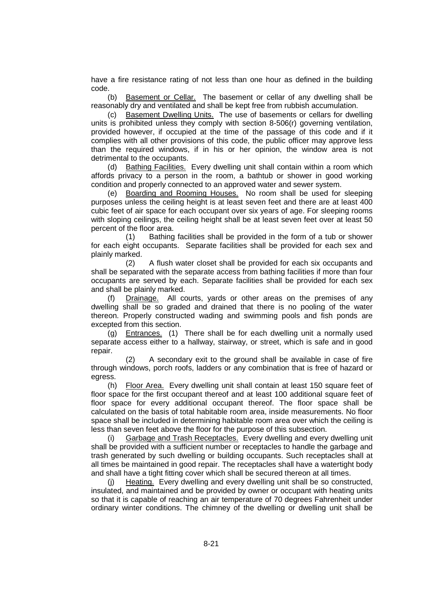have a fire resistance rating of not less than one hour as defined in the building code.

(b) Basement or Cellar. The basement or cellar of any dwelling shall be reasonably dry and ventilated and shall be kept free from rubbish accumulation.

(c) Basement Dwelling Units. The use of basements or cellars for dwelling units is prohibited unless they comply with section 8-506(r) governing ventilation, provided however, if occupied at the time of the passage of this code and if it complies with all other provisions of this code, the public officer may approve less than the required windows, if in his or her opinion, the window area is not detrimental to the occupants.

(d) Bathing Facilities. Every dwelling unit shall contain within a room which affords privacy to a person in the room, a bathtub or shower in good working condition and properly connected to an approved water and sewer system.

(e) Boarding and Rooming Houses. No room shall be used for sleeping purposes unless the ceiling height is at least seven feet and there are at least 400 cubic feet of air space for each occupant over six years of age. For sleeping rooms with sloping ceilings, the ceiling height shall be at least seven feet over at least 50 percent of the floor area.

(1) Bathing facilities shall be provided in the form of a tub or shower for each eight occupants. Separate facilities shall be provided for each sex and plainly marked.

(2) A flush water closet shall be provided for each six occupants and shall be separated with the separate access from bathing facilities if more than four occupants are served by each. Separate facilities shall be provided for each sex and shall be plainly marked.

(f) Drainage. All courts, yards or other areas on the premises of any dwelling shall be so graded and drained that there is no pooling of the water thereon. Properly constructed wading and swimming pools and fish ponds are excepted from this section.

(g) Entrances. (1) There shall be for each dwelling unit a normally used separate access either to a hallway, stairway, or street, which is safe and in good repair.

(2) A secondary exit to the ground shall be available in case of fire through windows, porch roofs, ladders or any combination that is free of hazard or egress.

(h) Floor Area. Every dwelling unit shall contain at least 150 square feet of floor space for the first occupant thereof and at least 100 additional square feet of floor space for every additional occupant thereof. The floor space shall be calculated on the basis of total habitable room area, inside measurements. No floor space shall be included in determining habitable room area over which the ceiling is less than seven feet above the floor for the purpose of this subsection.

(i) Garbage and Trash Receptacles. Every dwelling and every dwelling unit shall be provided with a sufficient number or receptacles to handle the garbage and trash generated by such dwelling or building occupants. Such receptacles shall at all times be maintained in good repair. The receptacles shall have a watertight body and shall have a tight fitting cover which shall be secured thereon at all times.

(j) Heating. Every dwelling and every dwelling unit shall be so constructed, insulated, and maintained and be provided by owner or occupant with heating units so that it is capable of reaching an air temperature of 70 degrees Fahrenheit under ordinary winter conditions. The chimney of the dwelling or dwelling unit shall be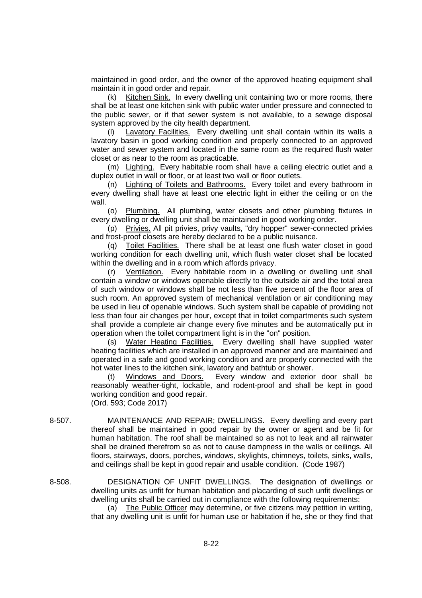maintained in good order, and the owner of the approved heating equipment shall maintain it in good order and repair.

(k) Kitchen Sink. In every dwelling unit containing two or more rooms, there shall be at least one kitchen sink with public water under pressure and connected to the public sewer, or if that sewer system is not available, to a sewage disposal system approved by the city health department.

(l) Lavatory Facilities. Every dwelling unit shall contain within its walls a lavatory basin in good working condition and properly connected to an approved water and sewer system and located in the same room as the required flush water closet or as near to the room as practicable.

(m) Lighting. Every habitable room shall have a ceiling electric outlet and a duplex outlet in wall or floor, or at least two wall or floor outlets.

(n) Lighting of Toilets and Bathrooms. Every toilet and every bathroom in every dwelling shall have at least one electric light in either the ceiling or on the wall.

(o) Plumbing. All plumbing, water closets and other plumbing fixtures in every dwelling or dwelling unit shall be maintained in good working order.

(p) Privies. All pit privies, privy vaults, "dry hopper" sewer-connected privies and frost-proof closets are hereby declared to be a public nuisance.

(q) Toilet Facilities. There shall be at least one flush water closet in good working condition for each dwelling unit, which flush water closet shall be located within the dwelling and in a room which affords privacy.

(r) Ventilation. Every habitable room in a dwelling or dwelling unit shall contain a window or windows openable directly to the outside air and the total area of such window or windows shall be not less than five percent of the floor area of such room. An approved system of mechanical ventilation or air conditioning may be used in lieu of openable windows. Such system shall be capable of providing not less than four air changes per hour, except that in toilet compartments such system shall provide a complete air change every five minutes and be automatically put in operation when the toilet compartment light is in the "on" position.

(s) Water Heating Facilities. Every dwelling shall have supplied water heating facilities which are installed in an approved manner and are maintained and operated in a safe and good working condition and are properly connected with the hot water lines to the kitchen sink, lavatory and bathtub or shower.

Windows and Doors. Every window and exterior door shall be reasonably weather-tight, lockable, and rodent-proof and shall be kept in good working condition and good repair.

- (Ord. 593; Code 2017)
- 8-507. MAINTENANCE AND REPAIR; DWELLINGS. Every dwelling and every part thereof shall be maintained in good repair by the owner or agent and be fit for human habitation. The roof shall be maintained so as not to leak and all rainwater shall be drained therefrom so as not to cause dampness in the walls or ceilings. All floors, stairways, doors, porches, windows, skylights, chimneys, toilets, sinks, walls, and ceilings shall be kept in good repair and usable condition. (Code 1987)
- 8-508. DESIGNATION OF UNFIT DWELLINGS. The designation of dwellings or dwelling units as unfit for human habitation and placarding of such unfit dwellings or dwelling units shall be carried out in compliance with the following requirements:

(a) The Public Officer may determine, or five citizens may petition in writing, that any dwelling unit is unfit for human use or habitation if he, she or they find that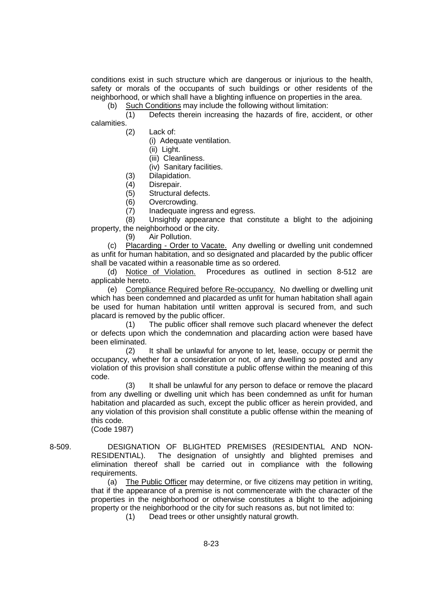conditions exist in such structure which are dangerous or injurious to the health, safety or morals of the occupants of such buildings or other residents of the neighborhood, or which shall have a blighting influence on properties in the area.

(b) Such Conditions may include the following without limitation:<br>(1) Defects therein increasing the hazards of fire, accidently

Defects therein increasing the hazards of fire, accident, or other calamities.

(2) Lack of:

(i) Adequate ventilation.

- (ii) Light.
- (iii) Cleanliness.

(iv) Sanitary facilities.

- (3) Dilapidation.
- (4) Disrepair.

(5) Structural defects.

(6) Overcrowding.

(7) Inadequate ingress and egress.

(8) Unsightly appearance that constitute a blight to the adjoining property, the neighborhood or the city.

(9) Air Pollution.

(c) Placarding - Order to Vacate. Any dwelling or dwelling unit condemned as unfit for human habitation, and so designated and placarded by the public officer shall be vacated within a reasonable time as so ordered.

(d) Notice of Violation. Procedures as outlined in section 8-512 are applicable hereto.

(e) Compliance Required before Re-occupancy. No dwelling or dwelling unit which has been condemned and placarded as unfit for human habitation shall again be used for human habitation until written approval is secured from, and such placard is removed by the public officer.

(1) The public officer shall remove such placard whenever the defect or defects upon which the condemnation and placarding action were based have been eliminated.

(2) It shall be unlawful for anyone to let, lease, occupy or permit the occupancy, whether for a consideration or not, of any dwelling so posted and any violation of this provision shall constitute a public offense within the meaning of this code.

(3) It shall be unlawful for any person to deface or remove the placard from any dwelling or dwelling unit which has been condemned as unfit for human habitation and placarded as such, except the public officer as herein provided, and any violation of this provision shall constitute a public offense within the meaning of this code.

(Code 1987)

8-509. DESIGNATION OF BLIGHTED PREMISES (RESIDENTIAL AND NON-RESIDENTIAL). The designation of unsightly and blighted premises and elimination thereof shall be carried out in compliance with the following requirements.

(a) The Public Officer may determine, or five citizens may petition in writing, that if the appearance of a premise is not commencerate with the character of the properties in the neighborhood or otherwise constitutes a blight to the adjoining property or the neighborhood or the city for such reasons as, but not limited to:

(1) Dead trees or other unsightly natural growth.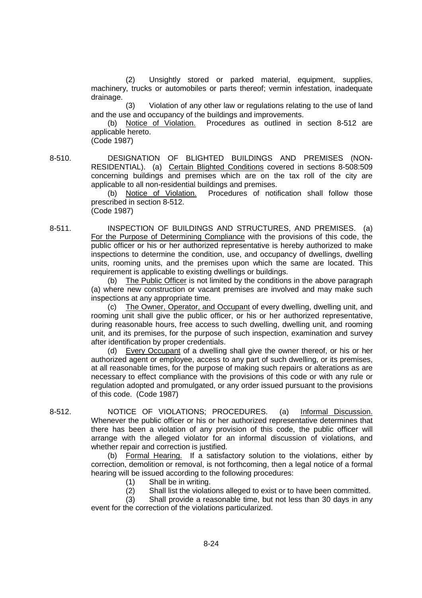(2) Unsightly stored or parked material, equipment, supplies, machinery, trucks or automobiles or parts thereof; vermin infestation, inadequate drainage.

(3) Violation of any other law or regulations relating to the use of land and the use and occupancy of the buildings and improvements.

(b) Notice of Violation. Procedures as outlined in section 8-512 are applicable hereto.

(Code 1987)

8-510. DESIGNATION OF BLIGHTED BUILDINGS AND PREMISES (NON-RESIDENTIAL). (a) Certain Blighted Conditions covered in sections 8-508:509 concerning buildings and premises which are on the tax roll of the city are applicable to all non-residential buildings and premises.

> (b) Notice of Violation. Procedures of notification shall follow those prescribed in section 8-512. (Code 1987)

8-511. INSPECTION OF BUILDINGS AND STRUCTURES, AND PREMISES. (a) For the Purpose of Determining Compliance with the provisions of this code, the public officer or his or her authorized representative is hereby authorized to make inspections to determine the condition, use, and occupancy of dwellings, dwelling units, rooming units, and the premises upon which the same are located. This requirement is applicable to existing dwellings or buildings.

> (b) The Public Officer is not limited by the conditions in the above paragraph (a) where new construction or vacant premises are involved and may make such inspections at any appropriate time.

> (c) The Owner, Operator, and Occupant of every dwelling, dwelling unit, and rooming unit shall give the public officer, or his or her authorized representative, during reasonable hours, free access to such dwelling, dwelling unit, and rooming unit, and its premises, for the purpose of such inspection, examination and survey after identification by proper credentials.

> (d) Every Occupant of a dwelling shall give the owner thereof, or his or her authorized agent or employee, access to any part of such dwelling, or its premises, at all reasonable times, for the purpose of making such repairs or alterations as are necessary to effect compliance with the provisions of this code or with any rule or regulation adopted and promulgated, or any order issued pursuant to the provisions of this code. (Code 1987)

8-512. NOTICE OF VIOLATIONS; PROCEDURES. (a) Informal Discussion. Whenever the public officer or his or her authorized representative determines that there has been a violation of any provision of this code, the public officer will arrange with the alleged violator for an informal discussion of violations, and whether repair and correction is justified.

(b) Formal Hearing. If a satisfactory solution to the violations, either by correction, demolition or removal, is not forthcoming, then a legal notice of a formal hearing will be issued according to the following procedures:

- (1) Shall be in writing.
- (2) Shall list the violations alleged to exist or to have been committed.

(3) Shall provide a reasonable time, but not less than 30 days in any event for the correction of the violations particularized.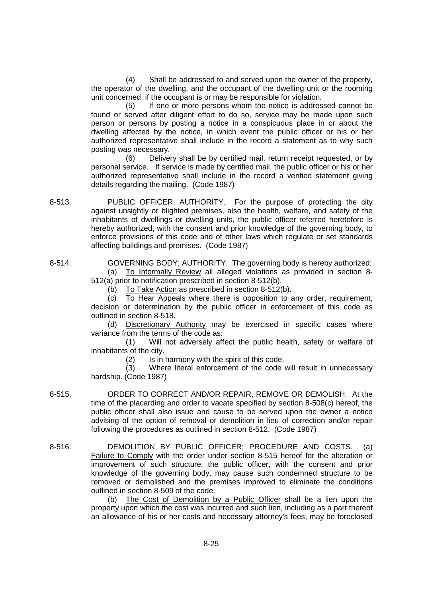(4) Shall be addressed to and served upon the owner of the property, the operator of the dwelling, and the occupant of the dwelling unit or the rooming unit concerned, if the occupant is or may be responsible for violation.

(5) If one or more persons whom the notice is addressed cannot be found or served after diligent effort to do so, service may be made upon such person or persons by posting a notice in a conspicuous place in or about the dwelling affected by the notice, in which event the public officer or his or her authorized representative shall include in the record a statement as to why such posting was necessary.

(6) Delivery shall be by certified mail, return receipt requested, or by personal service. If service is made by certified mail, the public officer or his or her authorized representative shall include in the record a verified statement giving details regarding the mailing. (Code 1987)

- 8-513. PUBLIC OFFICER: AUTHORITY. For the purpose of protecting the city against unsightly or blighted premises, also the health, welfare, and safety of the inhabitants of dwellings or dwelling units, the public officer referred heretofore is hereby authorized, with the consent and prior knowledge of the governing body, to enforce provisions of this code and of other laws which regulate or set standards affecting buildings and premises. (Code 1987)
- 8-514. GOVERNING BODY; AUTHORITY. The governing body is hereby authorized: (a) To Informally Review all alleged violations as provided in section 8- 512(a) prior to notification prescribed in section 8-512(b).
	- (b) To Take Action as prescribed in section 8-512(b).

(c) To Hear Appeals where there is opposition to any order, requirement, decision or determination by the public officer in enforcement of this code as outlined in section 8-518.

(d) Discretionary Authority may be exercised in specific cases where variance from the terms of the code as:

(1) Will not adversely affect the public health, safety or welfare of inhabitants of the city.

(2) Is in harmony with the spirit of this code.

(3) Where literal enforcement of the code will result in unnecessary hardship. (Code 1987)

- 8-515. ORDER TO CORRECT AND/OR REPAIR, REMOVE OR DEMOLISH. At the time of the placarding and order to vacate specified by section 8-508(c) hereof, the public officer shall also issue and cause to be served upon the owner a notice advising of the option of removal or demolition in lieu of correction and/or repair following the procedures as outlined in section 8-512. (Code 1987)
- 8-516. DEMOLITION BY PUBLIC OFFICER; PROCEDURE AND COSTS. (a) Failure to Comply with the order under section 8-515 hereof for the alteration or improvement of such structure, the public officer, with the consent and prior knowledge of the governing body, may cause such condemned structure to be removed or demolished and the premises improved to eliminate the conditions outlined in section 8-509 of the code.

(b) The Cost of Demolition by a Public Officer shall be a lien upon the property upon which the cost was incurred and such lien, including as a part thereof an allowance of his or her costs and necessary attorney's fees, may be foreclosed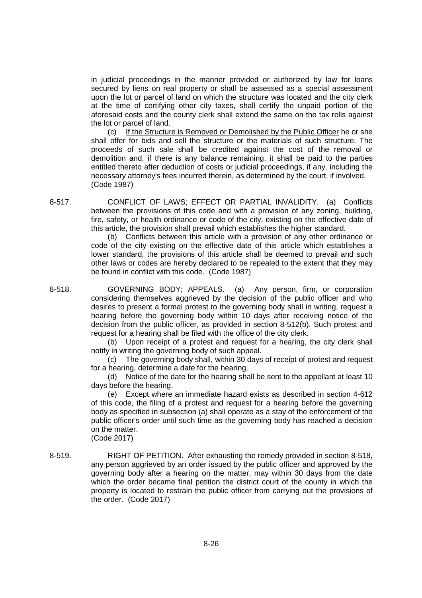in judicial proceedings in the manner provided or authorized by law for loans secured by liens on real property or shall be assessed as a special assessment upon the lot or parcel of land on which the structure was located and the city clerk at the time of certifying other city taxes, shall certify the unpaid portion of the aforesaid costs and the county clerk shall extend the same on the tax rolls against the lot or parcel of land.

(c) If the Structure is Removed or Demolished by the Public Officer he or she shall offer for bids and sell the structure or the materials of such structure. The proceeds of such sale shall be credited against the cost of the removal or demolition and, if there is any balance remaining, it shall be paid to the parties entitled thereto after deduction of costs or judicial proceedings, if any, including the necessary attorney's fees incurred therein, as determined by the court, if involved. (Code 1987)

8-517. CONFLICT OF LAWS; EFFECT OR PARTIAL INVALIDITY. (a) Conflicts between the provisions of this code and with a provision of any zoning, building, fire, safety, or health ordinance or code of the city, existing on the effective date of this article, the provision shall prevail which establishes the higher standard.

(b) Conflicts between this article with a provision of any other ordinance or code of the city existing on the effective date of this article which establishes a lower standard, the provisions of this article shall be deemed to prevail and such other laws or codes are hereby declared to be repealed to the extent that they may be found in conflict with this code. (Code 1987)

8-518. GOVERNING BODY; APPEALS. (a) Any person, firm, or corporation considering themselves aggrieved by the decision of the public officer and who desires to present a formal protest to the governing body shall in writing, request a hearing before the governing body within 10 days after receiving notice of the decision from the public officer, as provided in section 8-512(b). Such protest and request for a hearing shall be filed with the office of the city clerk.

(b) Upon receipt of a protest and request for a hearing, the city clerk shall notify in writing the governing body of such appeal.

(c) The governing body shall, within 30 days of receipt of protest and request for a hearing, determine a date for the hearing.

(d) Notice of the date for the hearing shall be sent to the appellant at least 10 days before the hearing.

(e) Except where an immediate hazard exists as described in section 4-612 of this code, the filing of a protest and request for a hearing before the governing body as specified in subsection (a) shall operate as a stay of the enforcement of the public officer's order until such time as the governing body has reached a decision on the matter.

(Code 2017)

8-519. RIGHT OF PETITION. After exhausting the remedy provided in section 8-518, any person aggrieved by an order issued by the public officer and approved by the governing body after a hearing on the matter, may within 30 days from the date which the order became final petition the district court of the county in which the property is located to restrain the public officer from carrying out the provisions of the order. (Code 2017)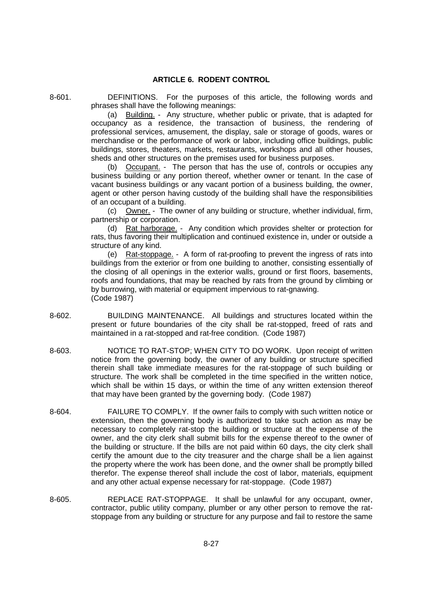### **ARTICLE 6. RODENT CONTROL**

8-601. DEFINITIONS. For the purposes of this article, the following words and phrases shall have the following meanings:

> (a) Building. - Any structure, whether public or private, that is adapted for occupancy as a residence, the transaction of business, the rendering of professional services, amusement, the display, sale or storage of goods, wares or merchandise or the performance of work or labor, including office buildings, public buildings, stores, theaters, markets, restaurants, workshops and all other houses, sheds and other structures on the premises used for business purposes.

> (b) Occupant. - The person that has the use of, controls or occupies any business building or any portion thereof, whether owner or tenant. In the case of vacant business buildings or any vacant portion of a business building, the owner, agent or other person having custody of the building shall have the responsibilities of an occupant of a building.

> (c) Owner. - The owner of any building or structure, whether individual, firm, partnership or corporation.

> (d) Rat harborage. - Any condition which provides shelter or protection for rats, thus favoring their multiplication and continued existence in, under or outside a structure of any kind.

> (e) Rat-stoppage. - A form of rat-proofing to prevent the ingress of rats into buildings from the exterior or from one building to another, consisting essentially of the closing of all openings in the exterior walls, ground or first floors, basements, roofs and foundations, that may be reached by rats from the ground by climbing or by burrowing, with material or equipment impervious to rat-gnawing. (Code 1987)

- 8-602. BUILDING MAINTENANCE. All buildings and structures located within the present or future boundaries of the city shall be rat-stopped, freed of rats and maintained in a rat-stopped and rat-free condition. (Code 1987)
- 8-603. NOTICE TO RAT-STOP; WHEN CITY TO DO WORK. Upon receipt of written notice from the governing body, the owner of any building or structure specified therein shall take immediate measures for the rat-stoppage of such building or structure. The work shall be completed in the time specified in the written notice, which shall be within 15 days, or within the time of any written extension thereof that may have been granted by the governing body. (Code 1987)
- 8-604. FAILURE TO COMPLY. If the owner fails to comply with such written notice or extension, then the governing body is authorized to take such action as may be necessary to completely rat-stop the building or structure at the expense of the owner, and the city clerk shall submit bills for the expense thereof to the owner of the building or structure. If the bills are not paid within 60 days, the city clerk shall certify the amount due to the city treasurer and the charge shall be a lien against the property where the work has been done, and the owner shall be promptly billed therefor. The expense thereof shall include the cost of labor, materials, equipment and any other actual expense necessary for rat-stoppage. (Code 1987)
- 8-605. REPLACE RAT-STOPPAGE. It shall be unlawful for any occupant, owner, contractor, public utility company, plumber or any other person to remove the ratstoppage from any building or structure for any purpose and fail to restore the same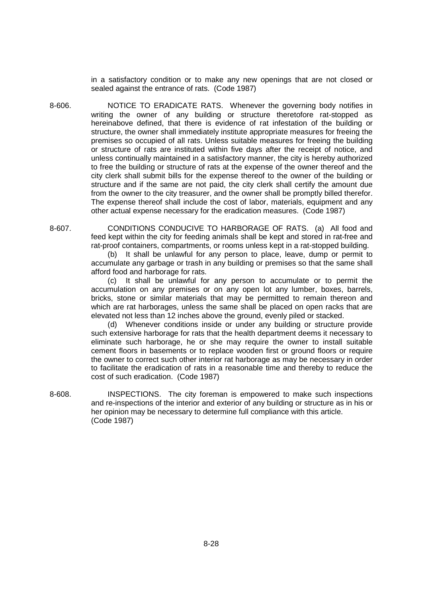in a satisfactory condition or to make any new openings that are not closed or sealed against the entrance of rats. (Code 1987)

8-606. NOTICE TO ERADICATE RATS. Whenever the governing body notifies in writing the owner of any building or structure theretofore rat-stopped as hereinabove defined, that there is evidence of rat infestation of the building or structure, the owner shall immediately institute appropriate measures for freeing the premises so occupied of all rats. Unless suitable measures for freeing the building or structure of rats are instituted within five days after the receipt of notice, and unless continually maintained in a satisfactory manner, the city is hereby authorized to free the building or structure of rats at the expense of the owner thereof and the city clerk shall submit bills for the expense thereof to the owner of the building or structure and if the same are not paid, the city clerk shall certify the amount due from the owner to the city treasurer, and the owner shall be promptly billed therefor. The expense thereof shall include the cost of labor, materials, equipment and any other actual expense necessary for the eradication measures. (Code 1987)

8-607. CONDITIONS CONDUCIVE TO HARBORAGE OF RATS. (a) All food and feed kept within the city for feeding animals shall be kept and stored in rat-free and rat-proof containers, compartments, or rooms unless kept in a rat-stopped building.

> (b) It shall be unlawful for any person to place, leave, dump or permit to accumulate any garbage or trash in any building or premises so that the same shall afford food and harborage for rats.

> (c) It shall be unlawful for any person to accumulate or to permit the accumulation on any premises or on any open lot any lumber, boxes, barrels, bricks, stone or similar materials that may be permitted to remain thereon and which are rat harborages, unless the same shall be placed on open racks that are elevated not less than 12 inches above the ground, evenly piled or stacked.

> (d) Whenever conditions inside or under any building or structure provide such extensive harborage for rats that the health department deems it necessary to eliminate such harborage, he or she may require the owner to install suitable cement floors in basements or to replace wooden first or ground floors or require the owner to correct such other interior rat harborage as may be necessary in order to facilitate the eradication of rats in a reasonable time and thereby to reduce the cost of such eradication. (Code 1987)

8-608. INSPECTIONS. The city foreman is empowered to make such inspections and re-inspections of the interior and exterior of any building or structure as in his or her opinion may be necessary to determine full compliance with this article. (Code 1987)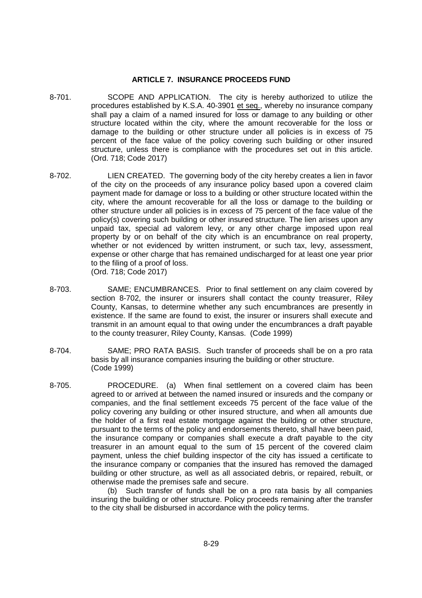### **ARTICLE 7. INSURANCE PROCEEDS FUND**

- 8-701. SCOPE AND APPLICATION. The city is hereby authorized to utilize the procedures established by K.S.A. 40-3901 et seq., whereby no insurance company shall pay a claim of a named insured for loss or damage to any building or other structure located within the city, where the amount recoverable for the loss or damage to the building or other structure under all policies is in excess of 75 percent of the face value of the policy covering such building or other insured structure, unless there is compliance with the procedures set out in this article. (Ord. 718; Code 2017)
- 8-702. LIEN CREATED. The governing body of the city hereby creates a lien in favor of the city on the proceeds of any insurance policy based upon a covered claim payment made for damage or loss to a building or other structure located within the city, where the amount recoverable for all the loss or damage to the building or other structure under all policies is in excess of 75 percent of the face value of the policy(s) covering such building or other insured structure. The lien arises upon any unpaid tax, special ad valorem levy, or any other charge imposed upon real property by or on behalf of the city which is an encumbrance on real property, whether or not evidenced by written instrument, or such tax, levy, assessment, expense or other charge that has remained undischarged for at least one year prior to the filing of a proof of loss. (Ord. 718; Code 2017)
- 8-703. SAME; ENCUMBRANCES. Prior to final settlement on any claim covered by section 8-702, the insurer or insurers shall contact the county treasurer, Riley County, Kansas, to determine whether any such encumbrances are presently in existence. If the same are found to exist, the insurer or insurers shall execute and transmit in an amount equal to that owing under the encumbrances a draft payable to the county treasurer, Riley County, Kansas. (Code 1999)
- 8-704. SAME; PRO RATA BASIS. Such transfer of proceeds shall be on a pro rata basis by all insurance companies insuring the building or other structure. (Code 1999)
- 8-705. PROCEDURE. (a) When final settlement on a covered claim has been agreed to or arrived at between the named insured or insureds and the company or companies, and the final settlement exceeds 75 percent of the face value of the policy covering any building or other insured structure, and when all amounts due the holder of a first real estate mortgage against the building or other structure, pursuant to the terms of the policy and endorsements thereto, shall have been paid, the insurance company or companies shall execute a draft payable to the city treasurer in an amount equal to the sum of 15 percent of the covered claim payment, unless the chief building inspector of the city has issued a certificate to the insurance company or companies that the insured has removed the damaged building or other structure, as well as all associated debris, or repaired, rebuilt, or otherwise made the premises safe and secure.

(b) Such transfer of funds shall be on a pro rata basis by all companies insuring the building or other structure. Policy proceeds remaining after the transfer to the city shall be disbursed in accordance with the policy terms.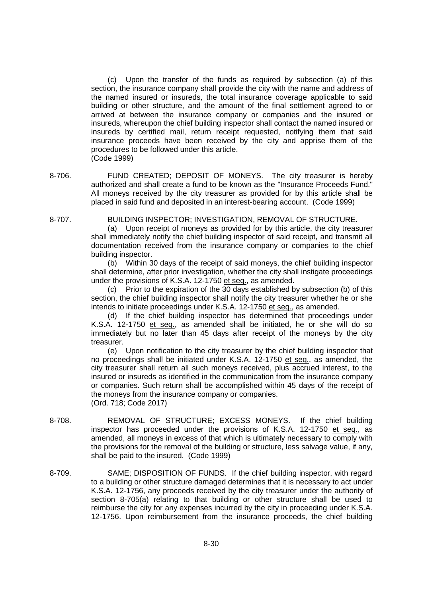(c) Upon the transfer of the funds as required by subsection (a) of this section, the insurance company shall provide the city with the name and address of the named insured or insureds, the total insurance coverage applicable to said building or other structure, and the amount of the final settlement agreed to or arrived at between the insurance company or companies and the insured or insureds, whereupon the chief building inspector shall contact the named insured or insureds by certified mail, return receipt requested, notifying them that said insurance proceeds have been received by the city and apprise them of the procedures to be followed under this article. (Code 1999)

8-706. FUND CREATED; DEPOSIT OF MONEYS. The city treasurer is hereby authorized and shall create a fund to be known as the "Insurance Proceeds Fund." All moneys received by the city treasurer as provided for by this article shall be placed in said fund and deposited in an interest-bearing account. (Code 1999)

8-707. BUILDING INSPECTOR; INVESTIGATION, REMOVAL OF STRUCTURE.

(a) Upon receipt of moneys as provided for by this article, the city treasurer shall immediately notify the chief building inspector of said receipt, and transmit all documentation received from the insurance company or companies to the chief building inspector.

(b) Within 30 days of the receipt of said moneys, the chief building inspector shall determine, after prior investigation, whether the city shall instigate proceedings under the provisions of K.S.A. 12-1750 et seq., as amended.

(c) Prior to the expiration of the 30 days established by subsection (b) of this section, the chief building inspector shall notify the city treasurer whether he or she intends to initiate proceedings under K.S.A. 12-1750 et seq., as amended.

(d) If the chief building inspector has determined that proceedings under K.S.A. 12-1750 et seq., as amended shall be initiated, he or she will do so immediately but no later than 45 days after receipt of the moneys by the city treasurer.

(e) Upon notification to the city treasurer by the chief building inspector that no proceedings shall be initiated under K.S.A. 12-1750 et seq., as amended, the city treasurer shall return all such moneys received, plus accrued interest, to the insured or insureds as identified in the communication from the insurance company or companies. Such return shall be accomplished within 45 days of the receipt of the moneys from the insurance company or companies. (Ord. 718; Code 2017)

- 
- 8-708. REMOVAL OF STRUCTURE; EXCESS MONEYS. If the chief building inspector has proceeded under the provisions of K.S.A. 12-1750 et seq., as amended, all moneys in excess of that which is ultimately necessary to comply with the provisions for the removal of the building or structure, less salvage value, if any, shall be paid to the insured. (Code 1999)
- 8-709. SAME; DISPOSITION OF FUNDS. If the chief building inspector, with regard to a building or other structure damaged determines that it is necessary to act under K.S.A. 12-1756, any proceeds received by the city treasurer under the authority of section 8-705(a) relating to that building or other structure shall be used to reimburse the city for any expenses incurred by the city in proceeding under K.S.A. 12-1756. Upon reimbursement from the insurance proceeds, the chief building